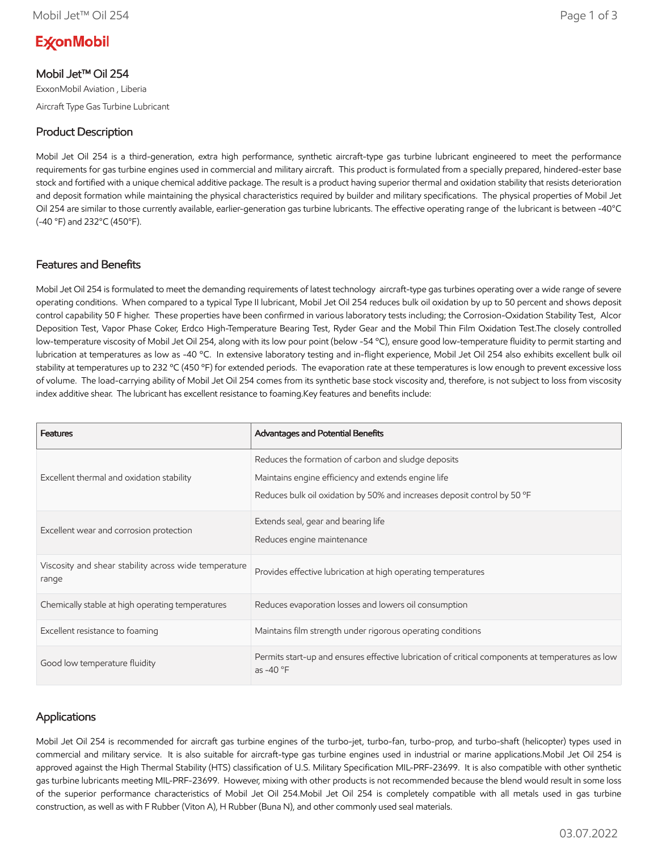# **ExconMobil**

Mobil Jet™ Oil 254

ExxonMobil Aviation , Liberia Aircraft Type Gas Turbine Lubricant

# Product Description

Mobil Jet Oil 254 is a third-generation, extra high performance, synthetic aircraft-type gas turbine lubricant engineered to meet the performance requirements for gas turbine engines used in commercial and military aircraft. This product is formulated from a specially prepared, hindered-ester base stock and fortified with a unique chemical additive package. The result is a product having superior thermal and oxidation stability that resists deterioration and deposit formation while maintaining the physical characteristics required by builder and military specifications. The physical properties of Mobil Jet Oil 254 are similar to those currently available, earlier-generation gas turbine lubricants. The effective operating range of the lubricant is between -40°C (-40 °F) and 232°C (450°F).

### Features and Benefits

Mobil Jet Oil 254 is formulated to meet the demanding requirements of latest technology aircraft-type gas turbines operating over a wide range of severe operating conditions. When compared to a typical Type II lubricant, Mobil Jet Oil 254 reduces bulk oil oxidation by up to 50 percent and shows deposit control capability 50 F higher. These properties have been confirmed in various laboratory tests including; the Corrosion-Oxidation Stability Test, Alcor Deposition Test, Vapor Phase Coker, Erdco High-Temperature Bearing Test, Ryder Gear and the Mobil Thin Film Oxidation Test.The closely controlled low-temperature viscosity of Mobil Jet Oil 254, along with its low pour point (below -54 °C), ensure good low-temperature fluidity to permit starting and lubrication at temperatures as low as -40 ºC. In extensive laboratory testing and in-flight experience, Mobil Jet Oil 254 also exhibits excellent bulk oil stability at temperatures up to 232 °C (450 °F) for extended periods. The evaporation rate at these temperatures is low enough to prevent excessive loss of volume. The load-carrying ability of Mobil Jet Oil 254 comes from its synthetic base stock viscosity and, therefore, is not subject to loss from viscosity index additive shear. The lubricant has excellent resistance to foaming.Key features and benefits include:

| <b>Features</b>                                                | Advantages and Potential Benefits                                                                                                                                                      |
|----------------------------------------------------------------|----------------------------------------------------------------------------------------------------------------------------------------------------------------------------------------|
| Excellent thermal and oxidation stability                      | Reduces the formation of carbon and sludge deposits<br>Maintains engine efficiency and extends engine life<br>Reduces bulk oil oxidation by 50% and increases deposit control by 50 °F |
| Excellent wear and corrosion protection                        | Extends seal, gear and bearing life<br>Reduces engine maintenance                                                                                                                      |
| Viscosity and shear stability across wide temperature<br>range | Provides effective lubrication at high operating temperatures                                                                                                                          |
| Chemically stable at high operating temperatures               | Reduces evaporation losses and lowers oil consumption                                                                                                                                  |
| Excellent resistance to foaming                                | Maintains film strength under rigorous operating conditions                                                                                                                            |
| Good low temperature fluidity                                  | Permits start-up and ensures effective lubrication of critical components at temperatures as low<br>as -40 °F                                                                          |

## Applications

Mobil Jet Oil 254 is recommended for aircraft gas turbine engines of the turbo-jet, turbo-fan, turbo-prop, and turbo-shaft (helicopter) types used in commercial and military service. It is also suitable for aircraft-type gas turbine engines used in industrial or marine applications.Mobil Jet Oil 254 is approved against the High Thermal Stability (HTS) classification of U.S. Military Specification MIL-PRF-23699. It is also compatible with other synthetic gas turbine lubricants meeting MIL-PRF-23699. However, mixing with other products is not recommended because the blend would result in some loss of the superior performance characteristics of Mobil Jet Oil 254.Mobil Jet Oil 254 is completely compatible with all metals used in gas turbine construction, as well as with F Rubber (Viton A), H Rubber (Buna N), and other commonly used seal materials.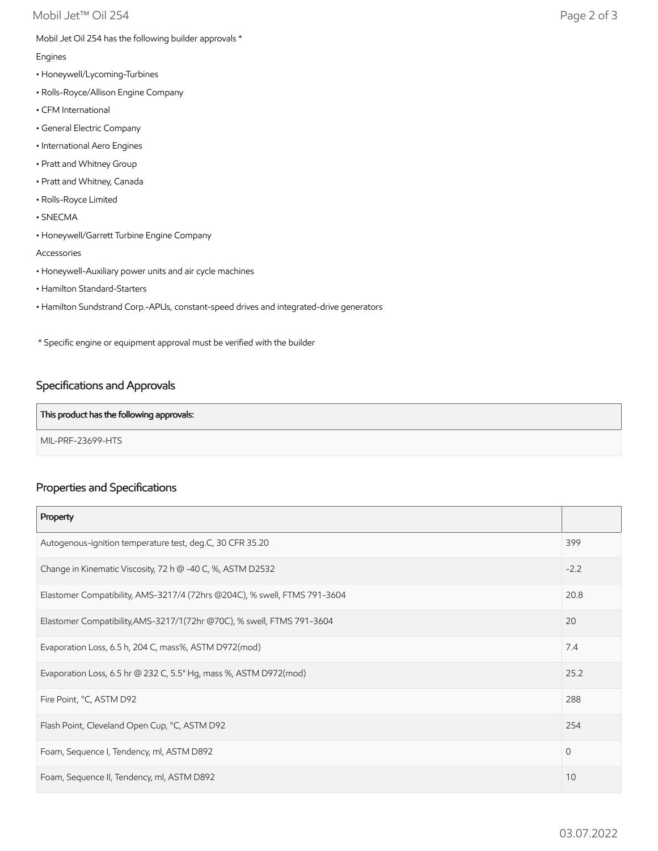Mobil Jet Oil 254 has the following builder approvals \*

Engines

- Honeywell/Lycoming-Turbines
- Rolls-Royce/Allison Engine Company
- CFM International
- General Electric Company
- International Aero Engines
- Pratt and Whitney Group
- Pratt and Whitney, Canada
- Rolls-Royce Limited
- SNECMA
- Honeywell/Garrett Turbine Engine Company

Accessories

- Honeywell-Auxiliary power units and air cycle machines
- Hamilton Standard-Starters
- Hamilton Sundstrand Corp.-APUs, constant-speed drives and integrated-drive generators

\* Specific engine or equipment approval must be verified with the builder

# Specifications and Approvals

#### This product has the following approvals:

MIL-PRF-23699-HTS

## Properties and Specifications

| Property                                                                  |      |
|---------------------------------------------------------------------------|------|
| Autogenous-ignition temperature test, deg.C, 30 CFR 35.20                 | 399  |
| Change in Kinematic Viscosity, 72 h @ -40 C, %, ASTM D2532                |      |
| Elastomer Compatibility, AMS-3217/4 (72hrs @204C), % swell, FTMS 791-3604 | 20.8 |
| Elastomer Compatibility, AMS-3217/1(72hr @70C), % swell, FTMS 791-3604    | 20   |
| Evaporation Loss, 6.5 h, 204 C, mass%, ASTM D972(mod)                     |      |
| Evaporation Loss, 6.5 hr @ 232 C, 5.5" Hg, mass %, ASTM D972(mod)         |      |
| Fire Point, °C, ASTM D92                                                  |      |
| Flash Point, Cleveland Open Cup, °C, ASTM D92                             |      |
| Foam, Sequence I, Tendency, ml, ASTM D892                                 | 0    |
| Foam, Sequence II, Tendency, ml, ASTM D892                                |      |